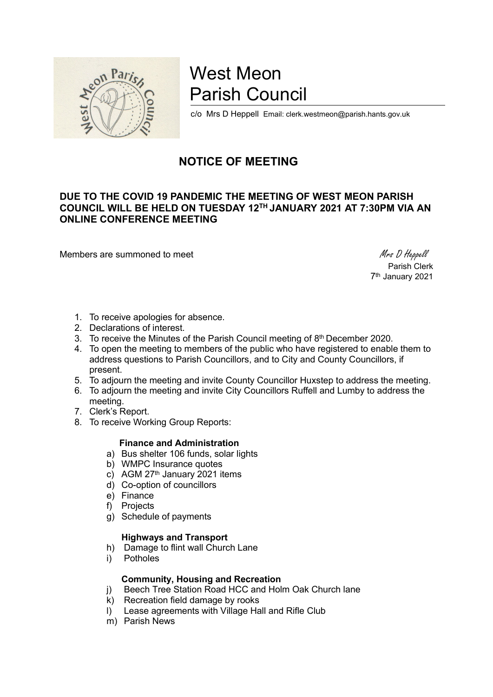

# West Meon Parish Council

c/o Mrs D Heppell Email: clerk.westmeon@parish.hants.gov.uk

# NOTICE OF MEETING

# DUE TO THE COVID 19 PANDEMIC THE MEETING OF WEST MEON PARISH COUNCIL WILL BE HELD ON TUESDAY 12TH JANUARY 2021 AT 7:30PM VIA AN ONLINE CONFERENCE MEETING

Members are summoned to meet Mess D Heppell

 Parish Clerk 7 th January 2021

- 1. To receive apologies for absence.
- 2. Declarations of interest.
- 3. To receive the Minutes of the Parish Council meeting of 8<sup>th</sup> December 2020.
- 4. To open the meeting to members of the public who have registered to enable them to address questions to Parish Councillors, and to City and County Councillors, if present.
- 5. To adjourn the meeting and invite County Councillor Huxstep to address the meeting.
- 6. To adjourn the meeting and invite City Councillors Ruffell and Lumby to address the meeting.
- 7. Clerk's Report.
- 8. To receive Working Group Reports:

#### Finance and Administration

- a) Bus shelter 106 funds, solar lights
- b) WMPC Insurance quotes
- c) AGM 27<sup>th</sup> January 2021 items
- d) Co-option of councillors
- e) Finance
- f) Projects
- g) Schedule of payments

## Highways and Transport

- h) Damage to flint wall Church Lane
- i) Potholes

## Community, Housing and Recreation

- j) Beech Tree Station Road HCC and Holm Oak Church lane
- k) Recreation field damage by rooks
- l) Lease agreements with Village Hall and Rifle Club
- m) Parish News